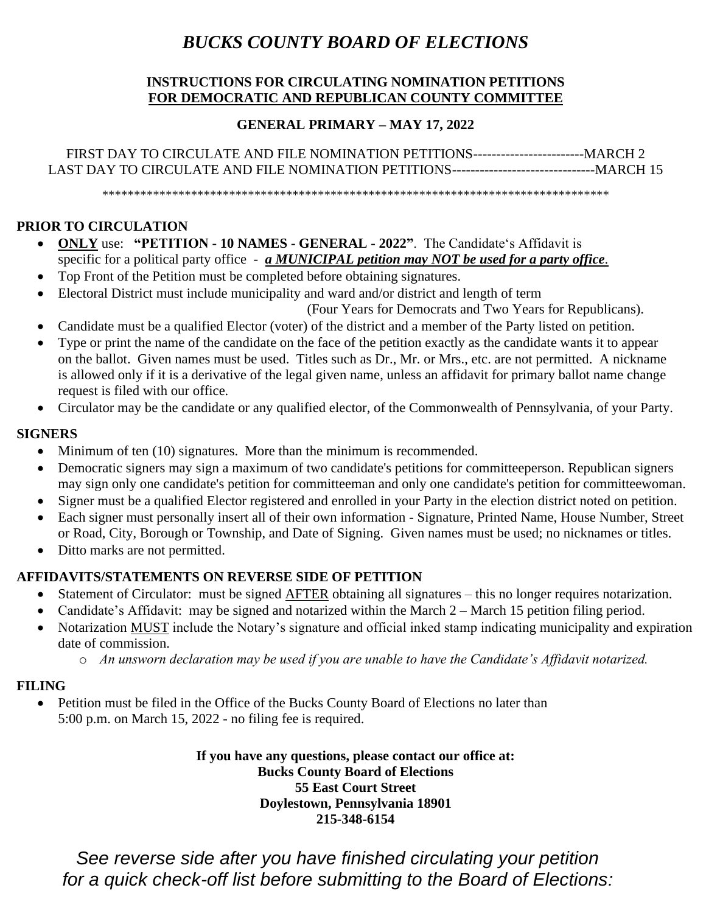## *BUCKS COUNTY BOARD OF ELECTIONS*

#### **INSTRUCTIONS FOR CIRCULATING NOMINATION PETITIONS FOR DEMOCRATIC AND REPUBLICAN COUNTY COMMITTEE**

### **GENERAL PRIMARY – MAY 17, 2022**

FIRST DAY TO CIRCULATE AND FILE NOMINATION PETITIONS------------------------MARCH 2 LAST DAY TO CIRCULATE AND FILE NOMINATION PETITIONS-------------------------------MARCH 15

\*\*\*\*\*\*\*\*\*\*\*\*\*\*\*\*\*\*\*\*\*\*\*\*\*\*\*\*\*\*\*\*\*\*\*\*\*\*\*\*\*\*\*\*\*\*\*\*\*\*\*\*\*\*\*\*\*\*\*\*\*\*\*\*\*\*\*\*\*\*\*\*\*\*\*\*\*\*\*\*

#### **PRIOR TO CIRCULATION**

- **ONLY** use: **"PETITION - 10 NAMES - GENERAL - 2022"**. The Candidate's Affidavit is specific for a political party office - *a MUNICIPAL petition may NOT be used for a party office*.
- Top Front of the Petition must be completed before obtaining signatures.
- Electoral District must include municipality and ward and/or district and length of term

(Four Years for Democrats and Two Years for Republicans).

- Candidate must be a qualified Elector (voter) of the district and a member of the Party listed on petition.
- Type or print the name of the candidate on the face of the petition exactly as the candidate wants it to appear on the ballot. Given names must be used. Titles such as Dr., Mr. or Mrs., etc. are not permitted. A nickname is allowed only if it is a derivative of the legal given name, unless an affidavit for primary ballot name change request is filed with our office.
- Circulator may be the candidate or any qualified elector, of the Commonwealth of Pennsylvania, of your Party.

#### **SIGNERS**

- Minimum of ten (10) signatures. More than the minimum is recommended.
- Democratic signers may sign a maximum of two candidate's petitions for committeeperson. Republican signers may sign only one candidate's petition for committeeman and only one candidate's petition for committeewoman.
- Signer must be a qualified Elector registered and enrolled in your Party in the election district noted on petition.
- Each signer must personally insert all of their own information Signature, Printed Name, House Number, Street or Road, City, Borough or Township, and Date of Signing. Given names must be used; no nicknames or titles.
- Ditto marks are not permitted.

## **AFFIDAVITS/STATEMENTS ON REVERSE SIDE OF PETITION**

- Statement of Circulator: must be signed AFTER obtaining all signatures this no longer requires notarization.
- Candidate's Affidavit: may be signed and notarized within the March 2 March 15 petition filing period.
- Notarization MUST include the Notary's signature and official inked stamp indicating municipality and expiration date of commission.
	- o *An unsworn declaration may be used if you are unable to have the Candidate's Affidavit notarized.*

#### **FILING**

• Petition must be filed in the Office of the Bucks County Board of Elections no later than 5:00 p.m. on March 15, 2022 - no filing fee is required.

> **If you have any questions, please contact our office at: Bucks County Board of Elections 55 East Court Street Doylestown, Pennsylvania 18901 215-348-6154**

*See reverse side after you have finished circulating your petition for a quick check-off list before submitting to the Board of Elections:*